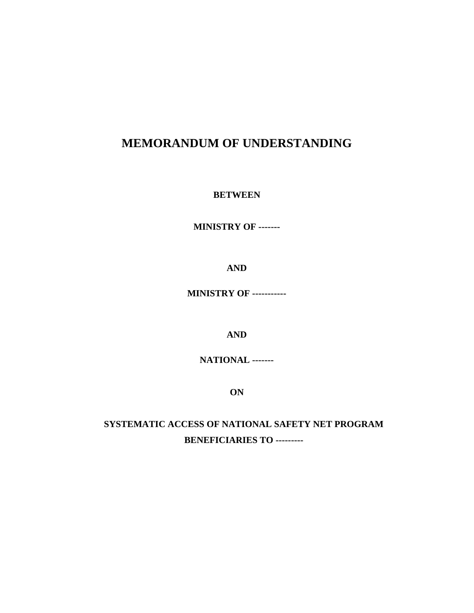# **MEMORANDUM OF UNDERSTANDING**

#### **BETWEEN**

**MINISTRY OF -------**

**AND**

**MINISTRY OF -----------**

**AND**

**NATIONAL -------**

**ON**

**SYSTEMATIC ACCESS OF NATIONAL SAFETY NET PROGRAM BENEFICIARIES TO ---------**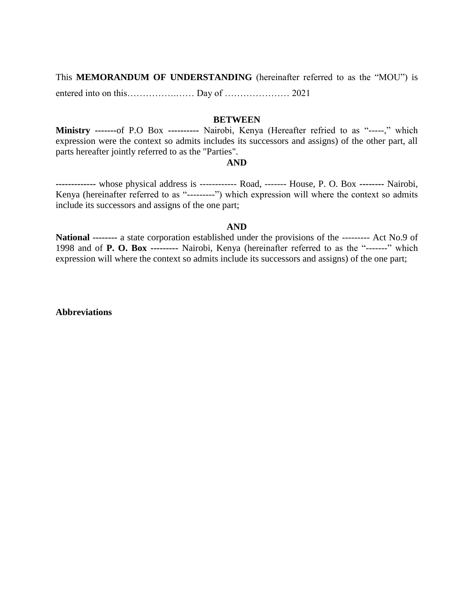This **MEMORANDUM OF UNDERSTANDING** (hereinafter referred to as the "MOU") is entered into on this…………….…… Day of ………………… 2021

#### **BETWEEN**

**Ministry -------**of P.O Box **----------** Nairobi, Kenya (Hereafter refried to as "-----," which expression were the context so admits includes its successors and assigns) of the other part, all parts hereafter jointly referred to as the "Parties".

#### **AND**

**-------------** whose physical address is ------------ Road, ------- House, P. O. Box **--------** Nairobi, Kenya (hereinafter referred to as "---------") which expression will where the context so admits include its successors and assigns of the one part;

#### **AND**

**National --------** a state corporation established under the provisions of the --------- Act No.9 of 1998 and of **P. O. Box ---------** Nairobi, Kenya (hereinafter referred to as the "-------" which expression will where the context so admits include its successors and assigns) of the one part;

**Abbreviations**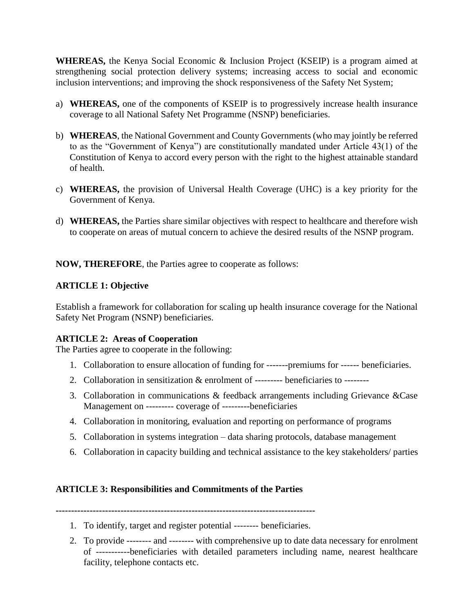**WHEREAS,** the Kenya Social Economic & Inclusion Project (KSEIP) is a program aimed at strengthening social protection delivery systems; increasing access to social and economic inclusion interventions; and improving the shock responsiveness of the Safety Net System;

- a) **WHEREAS,** one of the components of KSEIP is to progressively increase health insurance coverage to all National Safety Net Programme (NSNP) beneficiaries.
- b) **WHEREAS**, the National Government and County Governments (who may jointly be referred to as the "Government of Kenya") are constitutionally mandated under Article 43(1) of the Constitution of Kenya to accord every person with the right to the highest attainable standard of health.
- c) **WHEREAS,** the provision of Universal Health Coverage (UHC) is a key priority for the Government of Kenya.
- d) **WHEREAS,** the Parties share similar objectives with respect to healthcare and therefore wish to cooperate on areas of mutual concern to achieve the desired results of the NSNP program.

**NOW, THEREFORE**, the Parties agree to cooperate as follows:

# **ARTICLE 1: Objective**

Establish a framework for collaboration for scaling up health insurance coverage for the National Safety Net Program (NSNP) beneficiaries.

### **ARTICLE 2: Areas of Cooperation**

The Parties agree to cooperate in the following:

- 1. Collaboration to ensure allocation of funding for -------premiums for ------ beneficiaries.
- 2. Collaboration in sensitization & enrolment of --------- beneficiaries to --------
- 3. Collaboration in communications & feedback arrangements including Grievance &Case Management on --------- coverage of ---------beneficiaries
- 4. Collaboration in monitoring, evaluation and reporting on performance of programs
- 5. Collaboration in systems integration data sharing protocols, database management
- 6. Collaboration in capacity building and technical assistance to the key stakeholders/ parties

### **ARTICLE 3: Responsibilities and Commitments of the Parties**

**------------------------------------------------------------------------------------**

- 1. To identify, target and register potential -------- beneficiaries.
- 2. To provide -------- and -------- with comprehensive up to date data necessary for enrolment of -----------beneficiaries with detailed parameters including name, nearest healthcare facility, telephone contacts etc.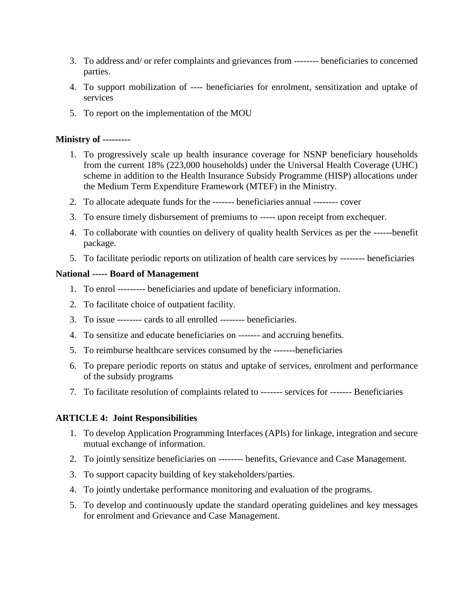- 3. To address and/ or refer complaints and grievances from -------- beneficiaries to concerned parties.
- 4. To support mobilization of ---- beneficiaries for enrolment, sensitization and uptake of services
- 5. To report on the implementation of the MOU

#### **Ministry of ---------**

- 1. To progressively scale up health insurance coverage for NSNP beneficiary households from the current 18% (223,000 households) under the Universal Health Coverage (UHC) scheme in addition to the Health Insurance Subsidy Programme (HISP) allocations under the Medium Term Expenditure Framework (MTEF) in the Ministry.
- 2. To allocate adequate funds for the ------- beneficiaries annual -------- cover
- 3. To ensure timely disbursement of premiums to ----- upon receipt from exchequer.
- 4. To collaborate with counties on delivery of quality health Services as per the ------benefit package.
- 5. To facilitate periodic reports on utilization of health care services by -------- beneficiaries

#### **National ----- Board of Management**

- 1. To enrol --------- beneficiaries and update of beneficiary information.
- 2. To facilitate choice of outpatient facility.
- 3. To issue -------- cards to all enrolled -------- beneficiaries.
- 4. To sensitize and educate beneficiaries on ------- and accruing benefits.
- 5. To reimburse healthcare services consumed by the -------beneficiaries
- 6. To prepare periodic reports on status and uptake of services, enrolment and performance of the subsidy programs
- 7. To facilitate resolution of complaints related to ------- services for ------- Beneficiaries

### **ARTICLE 4: Joint Responsibilities**

- 1. To develop Application Programming Interfaces (APIs) for linkage, integration and secure mutual exchange of information.
- 2. To jointly sensitize beneficiaries on -------- benefits, Grievance and Case Management.
- 3. To support capacity building of key stakeholders/parties.
- 4. To jointly undertake performance monitoring and evaluation of the programs.
- 5. To develop and continuously update the standard operating guidelines and key messages for enrolment and Grievance and Case Management.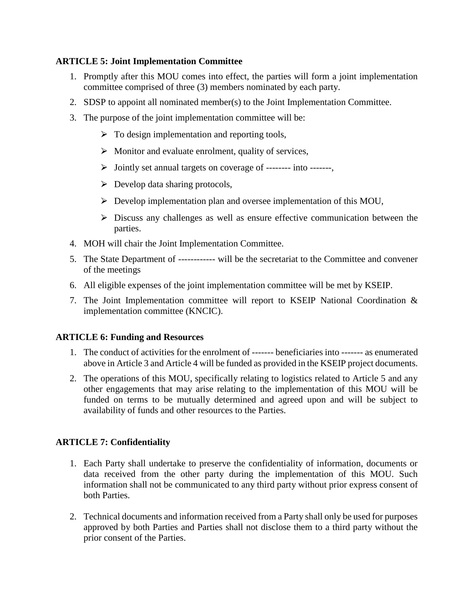### **ARTICLE 5: Joint Implementation Committee**

- 1. Promptly after this MOU comes into effect, the parties will form a joint implementation committee comprised of three (3) members nominated by each party.
- 2. SDSP to appoint all nominated member(s) to the Joint Implementation Committee.
- 3. The purpose of the joint implementation committee will be:
	- $\triangleright$  To design implementation and reporting tools,
	- $\triangleright$  Monitor and evaluate enrolment, quality of services,
	- $\triangleright$  Jointly set annual targets on coverage of -------- into -------
	- $\triangleright$  Develop data sharing protocols,
	- $\triangleright$  Develop implementation plan and oversee implementation of this MOU,
	- $\triangleright$  Discuss any challenges as well as ensure effective communication between the parties.
- 4. MOH will chair the Joint Implementation Committee.
- 5. The State Department of ------------ will be the secretariat to the Committee and convener of the meetings
- 6. All eligible expenses of the joint implementation committee will be met by KSEIP.
- 7. The Joint Implementation committee will report to KSEIP National Coordination & implementation committee (KNCIC).

### **ARTICLE 6: Funding and Resources**

- 1. The conduct of activities for the enrolment of ------- beneficiaries into ------- as enumerated above in Article 3 and Article 4 will be funded as provided in the KSEIP project documents.
- 2. The operations of this MOU, specifically relating to logistics related to Article 5 and any other engagements that may arise relating to the implementation of this MOU will be funded on terms to be mutually determined and agreed upon and will be subject to availability of funds and other resources to the Parties.

### **ARTICLE 7: Confidentiality**

- 1. Each Party shall undertake to preserve the confidentiality of information, documents or data received from the other party during the implementation of this MOU. Such information shall not be communicated to any third party without prior express consent of both Parties.
- 2. Technical documents and information received from a Party shall only be used for purposes approved by both Parties and Parties shall not disclose them to a third party without the prior consent of the Parties.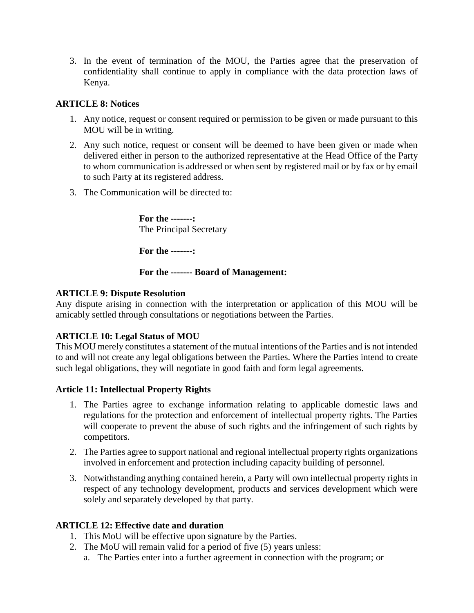3. In the event of termination of the MOU, the Parties agree that the preservation of confidentiality shall continue to apply in compliance with the data protection laws of Kenya.

### **ARTICLE 8: Notices**

- 1. Any notice, request or consent required or permission to be given or made pursuant to this MOU will be in writing.
- 2. Any such notice, request or consent will be deemed to have been given or made when delivered either in person to the authorized representative at the Head Office of the Party to whom communication is addressed or when sent by registered mail or by fax or by email to such Party at its registered address.
- 3. The Communication will be directed to:

**For the -------:**  The Principal Secretary

**For the -------:** 

# **For the ------- Board of Management:**

# **ARTICLE 9: Dispute Resolution**

Any dispute arising in connection with the interpretation or application of this MOU will be amicably settled through consultations or negotiations between the Parties.

# **ARTICLE 10: Legal Status of MOU**

This MOU merely constitutes a statement of the mutual intentions of the Parties and is not intended to and will not create any legal obligations between the Parties. Where the Parties intend to create such legal obligations, they will negotiate in good faith and form legal agreements.

# **Article 11: Intellectual Property Rights**

- 1. The Parties agree to exchange information relating to applicable domestic laws and regulations for the protection and enforcement of intellectual property rights. The Parties will cooperate to prevent the abuse of such rights and the infringement of such rights by competitors.
- 2. The Parties agree to support national and regional intellectual property rights organizations involved in enforcement and protection including capacity building of personnel.
- 3. Notwithstanding anything contained herein, a Party will own intellectual property rights in respect of any technology development, products and services development which were solely and separately developed by that party.

# **ARTICLE 12: Effective date and duration**

- 1. This MoU will be effective upon signature by the Parties.
- 2. The MoU will remain valid for a period of five (5) years unless:
	- a. The Parties enter into a further agreement in connection with the program; or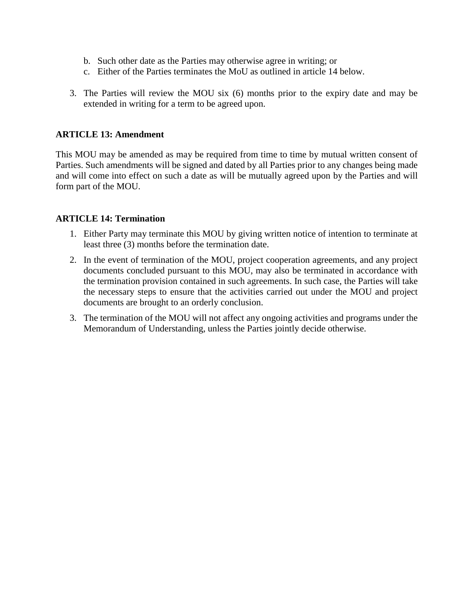- b. Such other date as the Parties may otherwise agree in writing; or
- c. Either of the Parties terminates the MoU as outlined in article 14 below.
- 3. The Parties will review the MOU six (6) months prior to the expiry date and may be extended in writing for a term to be agreed upon.

#### **ARTICLE 13: Amendment**

This MOU may be amended as may be required from time to time by mutual written consent of Parties. Such amendments will be signed and dated by all Parties prior to any changes being made and will come into effect on such a date as will be mutually agreed upon by the Parties and will form part of the MOU.

#### **ARTICLE 14: Termination**

- 1. Either Party may terminate this MOU by giving written notice of intention to terminate at least three (3) months before the termination date.
- 2. In the event of termination of the MOU, project cooperation agreements, and any project documents concluded pursuant to this MOU, may also be terminated in accordance with the termination provision contained in such agreements. In such case, the Parties will take the necessary steps to ensure that the activities carried out under the MOU and project documents are brought to an orderly conclusion.
- 3. The termination of the MOU will not affect any ongoing activities and programs under the Memorandum of Understanding, unless the Parties jointly decide otherwise.